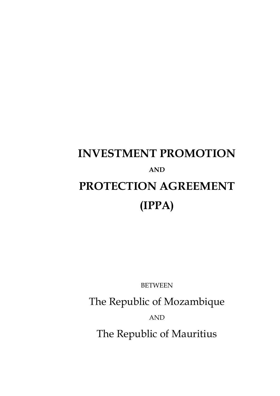# **INVESTMENT PROMOTION AND PROTECTION AGREEMENT (IPPA)**

BETWEEN

The Republic of Mozambique

AND

The Republic of Mauritius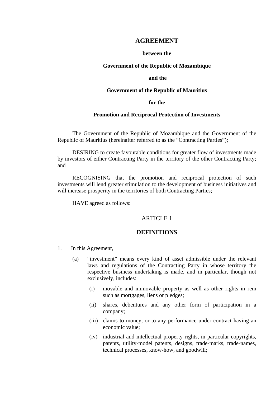## **AGREEMENT**

#### **between the**

#### **Government of the Republic of Mozambique**

#### **and the**

#### **Government of the Republic of Mauritius**

### **for the**

## **Promotion and Reciprocal Protection of Investments**

The Government of the Republic of Mozambique and the Government of the Republic of Mauritius (hereinafter referred to as the "Contracting Parties");

DESIRING to create favourable conditions for greater flow of investments made by investors of either Contracting Party in the territory of the other Contracting Party; and

RECOGNISING that the promotion and reciprocal protection of such investments will lend greater stimulation to the development of business initiatives and will increase prosperity in the territories of both Contracting Parties;

HAVE agreed as follows:

#### ARTICLE 1

## **DEFINITIONS**

- 1. In this Agreement,
	- (a) "investment" means every kind of asset admissible under the relevant laws and regulations of the Contracting Party in whose territory the respective business undertaking is made, and in particular, though not exclusively, includes:
		- (i) movable and immovable property as well as other rights in rem such as mortgages, liens or pledges;
		- (ii) shares, debentures and any other form of participation in a company;
		- (iii) claims to money, or to any performance under contract having an economic value;
		- (iv) industrial and intellectual property rights, in particular copyrights, patents, utility-model patents, designs, trade-marks, trade-names, technical processes, know-how, and goodwill;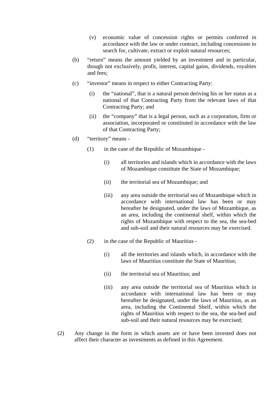- (v) economic value of concession rights or permits conferred in accordance with the law or under contract, including concessions to search for, cultivate, extract or exploit natural resources;
- (b) "return" means the amount yielded by an investment and in particular, though not exclusively, profit, interest, capital gains, dividends, royalties and fees;
- (c) "investor" means in respect to either Contracting Party:
	- (i) the "national", that is a natural person deriving his or her status as a national of that Contracting Party from the relevant laws of that Contracting Party; and
	- (ii) the "company" that is a legal person, such as a corporation, firm or association, incorporated or constituted in accordance with the law of that Contracting Party;
- (d) "territory" means
	- (1) in the case of the Republic of Mozambique
		- (i) all territories and islands which in accordance with the laws of Mozambique constitute the State of Mozambique;
		- (ii) the territorial sea of Mozambique; and
		- (iii) any area outside the territorial sea of Mozambique which in accordance with international law has been or may hereafter be designated, under the laws of Mozambique, as an area, including the continental shelf, within which the rights of Mozambique with respect to the sea, the sea-bed and sub-soil and their natural resources may be exercised.
	- (2) in the case of the Republic of Mauritius
		- (i) all the territories and islands which, in accordance with the laws of Mauritius constitute the State of Mauritius;
		- (ii) the territorial sea of Mauritius; and
		- (iii) any area outside the territorial sea of Mauritius which in accordance with international law has been or may hereafter be designated, under the laws of Mauritius, as an area, including the Continental Shelf, within which the rights of Mauritius with respect to the sea, the sea-bed and sub-soil and their natural resources may be exercised;
- (2) Any change in the form in which assets are or have been invested does not affect their character as investments as defined in this Agreement.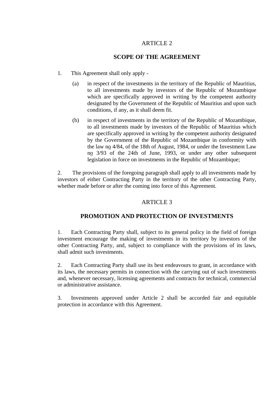# ARTICLE 2

## **SCOPE OF THE AGREEMENT**

- 1. This Agreement shall only apply
	- (a) in respect of the investments in the territory of the Republic of Mauritius, to all investments made by investors of the Republic of Mozambique which are specifically approved in writing by the competent authority designated by the Government of the Republic of Mauritius and upon such conditions, if any, as it shall deem fit.
	- (b) in respect of investments in the territory of the Republic of Mozambique, to all investments made by investors of the Republic of Mauritius which are specifically approved in writing by the competent authority designated by the Government of the Republic of Mozambique in conformity with the law no 4/84, of the 18th of August, 1984, or under the Investment Law no 3/93 of the 24th of June, 1993, or under any other subsequent legislation in force on investments in the Republic of Mozambique;

2. The provisions of the foregoing paragraph shall apply to all investments made by investors of either Contracting Party in the territory of the other Contracting Party, whether made before or after the coming into force of this Agreement.

# ARTICLE 3

# **PROMOTION AND PROTECTION OF INVESTMENTS**

1. Each Contracting Party shall, subject to its general policy in the field of foreign investment encourage the making of investments in its territory by investors of the other Contracting Party, and, subject to compliance with the provisions of its laws, shall admit such investments.

2. Each Contracting Party shall use its best endeavours to grant, in accordance with its laws, the necessary permits in connection with the carrying out of such investments and, whenever necessary, licensing agreements and contracts for technical, commercial or administrative assistance.

3. Investments approved under Article 2 shall be accorded fair and equitable protection in accordance with this Agreement.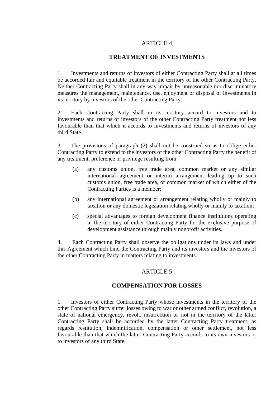## ARTICLE 4

## **TREATMENT OF INVESTMENTS**

1. Investments and returns of investors of either Contracting Party shall at all times be accorded fair and equitable treatment in the territory of the other Contracting Party. Neither Contracting Party shall in any way impair by unreasonable nor discriminatory measures the management, maintenance, use, enjoyment or disposal of investments in its territory by investors of the other Contracting Party.

2. Each Contracting Party shall in its territory accord to investors and to investments and returns of investors of the other Contracting Party treatment not less favourable than that which it accords to investments and returns of investors of any third State.

3. The provisions of paragraph (2) shall not be construed so as to oblige either Contracting Party to extend to the investors of the other Contracting Party the benefit of any treatment, preference or privilege resulting from:

- (a) any customs union, free trade area, common market or any similar international agreement or interim arrangement leading up to such customs union, free trade area, or common market of which either of the Contracting Parties is a member;
- (b) any international agreement or arrangement relating wholly or mainly to taxation or any domestic legislation relating wholly or mainly to taxation;
- (c) special advantages to foreign development finance institutions operating in the territory of either Contracting Party for the exclusive purpose of development assistance through mainly nonprofit activities.

4. Each Contracting Party shall observe the obligations under its laws and under this Agreement which bind the Contracting Party and its investors and the investors of the other Contracting Party in matters relating to investments.

## ARTICLE<sub>5</sub>

### **COMPENSATION FOR LOSSES**

1. Investors of either Contracting Party whose investments in the territory of the other Contracting Party suffer losses owing to war or other armed conflict, revolution, a state of national emergency, revolt, insurrection or riot in the territory of the latter Contracting Party shall be accorded by the latter Contracting Party treatment, as regards restitution, indemnification, compensation or other settlement, not less favourable than that which the latter Contracting Party accords to its own investors or to investors of any third State.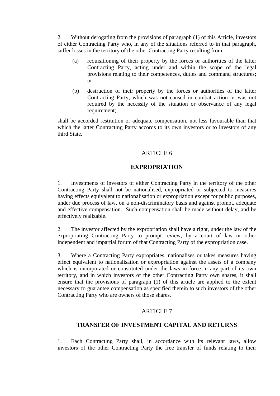2. Without derogating from the provisions of paragraph (1) of this Article, investors of either Contracting Party who, in any of the situations referred to in that paragraph, suffer losses in the territory of the other Contracting Party resulting from:

- (a) requisitioning of their property by the forces or authorities of the latter Contracting Party, acting under and within the scope of the legal provisions relating to their competences, duties and command structures; or
- (b) destruction of their property by the forces or authorities of the latter Contracting Party, which was not caused in combat action or was not required by the necessity of the situation or observance of any legal requirement;

shall be accorded restitution or adequate compensation, not less favourable than that which the latter Contracting Party accords to its own investors or to investors of any third State.

## ARTICLE 6

# **EXPROPRIATION**

1. Investments of investors of either Contracting Party in the territory of the other Contracting Party shall not be nationalised, expropriated or subjected to measures having effects equivalent to nationalisation or expropriation except for public purposes, under due process of law, on a non-discriminatory basis and against prompt, adequate and effective compensation. Such compensation shall be made without delay, and be effectively realizable.

2. The investor affected by the expropriation shall have a right, under the law of the expropriating Contracting Party to prompt review, by a court of law or other independent and impartial forum of that Contracting Party of the expropriation case.

3. Where a Contracting Party expropriates, nationalises or takes measures having effect equivalent to nationalisation or expropriation against the assets of a company which is incorporated or constituted under the laws in force in any part of its own territory, and in which investors of the other Contracting Party own shares, it shall ensure that the provisions of paragraph (1) of this article are applied to the extent necessary to guarantee compensation as specified therein to such investors of the other Contracting Party who are owners of those shares.

## ARTICLE 7

# **TRANSFER OF INVESTMENT CAPITAL AND RETURNS**

1. Each Contracting Party shall, in accordance with its relevant laws, allow investors of the other Contracting Party the free transfer of funds relating to their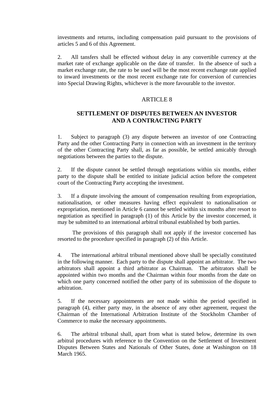investments and returns, including compensation paid pursuant to the provisions of articles 5 and 6 of this Agreement.

2. All tansfers shall be effected without delay in any convertible currency at the market rate of exchange applicable on the date of transfer. In the absence of such a market exchange rate, the rate to be used will be the most recent exchange rate applied to inward investments or the most recent exchange rate for conversion of currencies into Special Drawing Rights, whichever is the more favourable to the investor.

## ARTICLE 8

# **SETTLEMENT OF DISPUTES BETWEEN AN INVESTOR AND A CONTRACTING PARTY**

1. Subject to paragraph (3) any dispute between an investor of one Contracting Party and the other Contracting Party in connection with an investment in the territory of the other Contracting Party shall, as far as possible, be settled amicably through negotiations between the parties to the dispute.

2. If the dispute cannot be settled through negotiations within six months, either party to the dispute shall be entitled to initiate judicial action before the competent court of the Contracting Party accepting the investment.

3. If a dispute involving the amount of compensation resulting from expropriation, nationalisation, or other measures having effect equivalent to nationalisation or expropriation, mentioned in Article 6 cannot be settled within six months after resort to negotiation as specified in paragraph (1) of this Article by the investor concerned, it may be submitted to an international arbitral tribunal established by both parties.

The provisions of this paragraph shall not apply if the investor concerned has resorted to the procedure specified in paragraph (2) of this Article.

4. The international arbitral tribunal mentioned above shall be specially constituted in the following manner. Each party to the dispute shall appoint an arbitrator. The two arbitrators shall appoint a third arbitrator as Chairman. The arbitrators shall be appointed within two months and the Chairman within four months from the date on which one party concerned notified the other party of its submission of the dispute to arbitration.

5. If the necessary appointments are not made within the period specified in paragraph (4), either party may, in the absence of any other agreement, request the Chairman of the International Arbitration Institute of the Stockholm Chamber of Commerce to make the necessary appointments.

6. The arbitral tribunal shall, apart from what is stated below, determine its own arbitral procedures with reference to the Convention on the Settlement of Investment Disputes Between States and Nationals of Other States, done at Washington on 18 March 1965.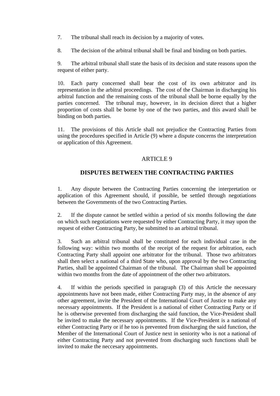- 7. The tribunal shall reach its decision by a majority of votes.
- 8. The decision of the arbitral tribunal shall be final and binding on both parties.

9. The arbitral tribunal shall state the basis of its decision and state reasons upon the request of either party.

10. Each party concerned shall bear the cost of its own arbitrator and its representation in the arbitral proceedings. The cost of the Chairman in discharging his arbitral function and the remaining costs of the tribunal shall be borne equally by the parties concerned. The tribunal may, however, in its decision direct that a higher proportion of costs shall be borne by one of the two parties, and this award shall be binding on both parties.

11. The provisions of this Article shall not prejudice the Contracting Parties from using the procedures specified in Article (9) where a dispute concerns the interpretation or application of this Agreement.

## ARTICLE 9

## **DISPUTES BETWEEN THE CONTRACTING PARTIES**

1. Any dispute between the Contracting Parties concerning the interpretation or application of this Agreement should, if possible, be settled through negotiations between the Governments of the two Contracting Parties.

2. If the dispute cannot be settled within a period of six months following the date on which such negotiations were requested by either Contracting Party, it may upon the request of either Contracting Party, be submitted to an arbitral tribunal.

3. Such an arbitral tribunal shall be constituted for each individual case in the following way: within two months of the receipt of the request for arbitration, each Contracting Party shall appoint one arbitrator for the tribunal. Those two arbitrators shall then select a national of a third State who, upon approval by the two Contracting Parties, shall be appointed Chairman of the tribunal. The Chairman shall be appointed within two months from the date of appointment of the other two arbitrators.

4. If within the periods specified in paragraph (3) of this Article the necessary appointments have not been made, either Contracting Party may, in the absence of any other agreement, invite the President of the International Court of Justice to make any necessary appointments. If the President is a national of either Contracting Party or if he is otherwise prevented from discharging the said function, the Vice-President shall be invited to make the necessary appointments. If the Vice-President is a national of either Contracting Party or if he too is prevented from discharging the said function, the Member of the International Court of Justice next in seniority who is not a national of either Contracting Party and not prevented from discharging such functions shall be invited to make the neccesary appointments.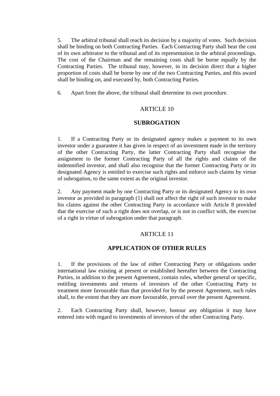5. The arbitral tribunal shall reach its decision by a majority of votes. Such decision shall be binding on both Contracting Parties. Each Contracting Party shall bear the cost of its own arbitrator to the tribunal and of its representation in the arbitral proceedings. The cost of the Chairman and the remaining costs shall be borne equally by the Contracting Parties. The tribunal may, however, in its decision direct that a higher proportion of costs shall be borne by one of the two Contracting Parties, and this award shall be binding on, and executed by, both Contracting Parties.

6. Apart from the above, the tribunal shall determine its own procedure.

## ARTICLE 10

#### **SUBROGATION**

1. If a Contracting Party or its designated agency makes a payment to its own investor under a guarantee it has given in respect of an investment made in the territory of the other Contracting Party, the latter Contracting Party shall recognise the assignment to the former Contracting Party of all the rights and claims of the indemnified investor, and shall also recognise that the former Contracting Party or its designated Agency is entitled to exercise such rights and enforce such claims by virtue of subrogation, to the same extent as the original investor.

2. Any payment made by one Contracting Party or its designated Agency to its own investor as provided in paragraph (1) shall not affect the right of such investor to make his claims against the other Contracting Party in accordance with Article 8 provided that the exercise of such a right does not overlap, or is not in conflict with, the exercise of a right in virtue of subrogation under that paragraph.

## ARTICLE 11

## **APPLICATION OF OTHER RULES**

1. If the provisions of the law of either Contracting Party or obligations under international law existing at present or established hereafter between the Contracting Parties, in addition to the present Agreement, contain rules, whether general or specific, entitling investments and returns of investors of the other Contracting Party to treatment more favourable than that provided for by the present Agreement, such rules shall, to the extent that they are more favourable, prevail over the present Agreement.

2. Each Contracting Party shall, however, honour any obligation it may have entered into with regard to investments of investors of the other Contracting Party.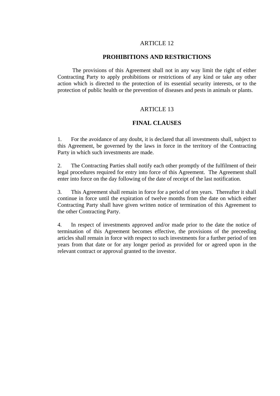## ARTICLE 12

#### **PROHIBITIONS AND RESTRICTIONS**

The provisions of this Agreement shall not in any way limit the right of either Contracting Party to apply prohibitions or restrictions of any kind or take any other action which is directed to the protection of its essential security interests, or to the protection of public health or the prevention of diseases and pests in animals or plants.

## ARTICLE 13

#### **FINAL CLAUSES**

1. For the avoidance of any doubt, it is declared that all investments shall, subject to this Agreement, be governed by the laws in force in the territory of the Contracting Party in which such investments are made.

2. The Contracting Parties shall notify each other promptly of the fulfilment of their legal procedures required for entry into force of this Agreement. The Agreement shall enter into force on the day following of the date of receipt of the last notification.

3. This Agreement shall remain in force for a period of ten years. Thereafter it shall continue in force until the expiration of twelve months from the date on which either Contracting Party shall have given written notice of termination of this Agreement to the other Contracting Party.

4. In respect of investments approved and/or made prior to the date the notice of termination of this Agreement becomes effective, the provisions of the preceeding articles shall remain in force with respect to such investments for a further period of ten years from that date or for any longer period as provided for or agreed upon in the relevant contract or approval granted to the investor.